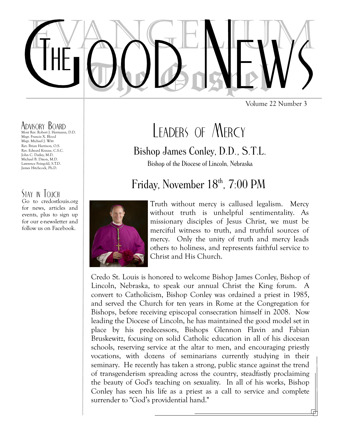Volume 22 Number 3

### Advisory Board

Most Rev. Robert J. Hermann, D.D. Msgr. Francis X. Blood Msgr. Michael J. Witt Rev. Brian Harrison, O.S. Rev. Edward Krause, C.S.C. John C. Dailey, M.D. Michael B. Dixon, M.D. Lawrence Feingold, S.T.D. James Hitchcock, Ph.D.

### STAY IN TOUCH

Go to credostlouis.org for news, articles and events, plus to sign up for our e-newsletter and follow us on Facebook.

# LEADERS OF MFRCY

### Bishop James Conley, D.D., S.T.L.

Bishop of the Diocese of Lincoln, Nebraska

## Friday, November 18<sup>th</sup>, 7:00 PM



Truth without mercy is callused legalism. Mercy without truth is unhelpful sentimentality. As missionary disciples of Jesus Christ, we must be merciful witness to truth, and truthful sources of mercy. Only the unity of truth and mercy leads others to holiness, and represents faithful service to Christ and His Church.

Credo St. Louis is honored to welcome Bishop James Conley, Bishop of Lincoln, Nebraska, to speak our annual Christ the King forum. A convert to Catholicism, Bishop Conley was ordained a priest in 1985, and served the Church for ten years in Rome at the Congregation for Bishops, before receiving episcopal consecration himself in 2008. Now leading the Diocese of Lincoln, he has maintained the good model set in place by his predecessors, Bishops Glennon Flavin and Fabian Bruskewitz, focusing on solid Catholic education in all of his diocesan schools, reserving service at the altar to men, and encouraging priestly vocations, with dozens of seminarians currently studying in their seminary. He recently has taken a strong, public stance against the trend of transgenderism spreading across the country, steadfastly proclaiming the beauty of God's teaching on sexuality. In all of his works, Bishop Conley has seen his life as a priest as a call to service and complete surrender to "God's providential hand."